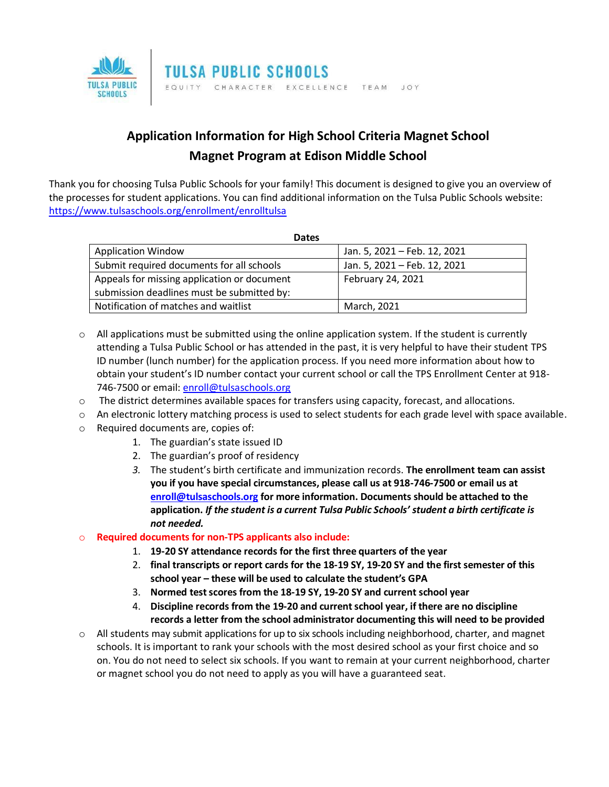

## **Application Information for High School Criteria Magnet School Magnet Program at Edison Middle School**

Thank you for choosing Tulsa Public Schools for your family! This document is designed to give you an overview of the processes for student applications. You can find additional information on the Tulsa Public Schools website: <https://www.tulsaschools.org/enrollment/enrolltulsa>

| <b>Dates</b>                                |                              |
|---------------------------------------------|------------------------------|
| <b>Application Window</b>                   | Jan. 5, 2021 - Feb. 12, 2021 |
| Submit required documents for all schools   | Jan. 5, 2021 - Feb. 12, 2021 |
| Appeals for missing application or document | February 24, 2021            |
| submission deadlines must be submitted by:  |                              |
| Notification of matches and waitlist        | March, 2021                  |

- $\circ$  All applications must be submitted using the online application system. If the student is currently attending a Tulsa Public School or has attended in the past, it is very helpful to have their student TPS ID number (lunch number) for the application process. If you need more information about how to obtain your student's ID number contact your current school or call the TPS Enrollment Center at 918 746-7500 or email: [enroll@tulsaschools.org](mailto:enroll@tulsaschools.org)
- $\circ$  The district determines available spaces for transfers using capacity, forecast, and allocations.
- o An electronic lottery matching process is used to select students for each grade level with space available.
- o Required documents are, copies of:
	- 1. The guardian's state issued ID
	- 2. The guardian's proof of residency
	- *3.* The student's birth certificate and immunization records. **The enrollment team can assist you if you have special circumstances, please call us at 918-746-7500 or email us at [enroll@tulsaschools.org](mailto:enroll@tulsaschools.org) for more information. Documents should be attached to the application.** *If the student is a current Tulsa Public Schools' student a birth certificate is not needed.*

## o **Required documents for non-TPS applicants also include:**

- 1. **19-20 SY attendance records for the first three quarters of the year**
- 2. **final transcripts or report cards for the 18-19 SY, 19-20 SY and the first semester of this school year – these will be used to calculate the student's GPA**
- 3. **Normed test scores from the 18-19 SY, 19-20 SY and current school year**
- 4. **Discipline records from the 19-20 and current school year, if there are no discipline records a letter from the school administrator documenting this will need to be provided**
- o All students may submit applications for up to six schools including neighborhood, charter, and magnet schools. It is important to rank your schools with the most desired school as your first choice and so on. You do not need to select six schools. If you want to remain at your current neighborhood, charter or magnet school you do not need to apply as you will have a guaranteed seat.